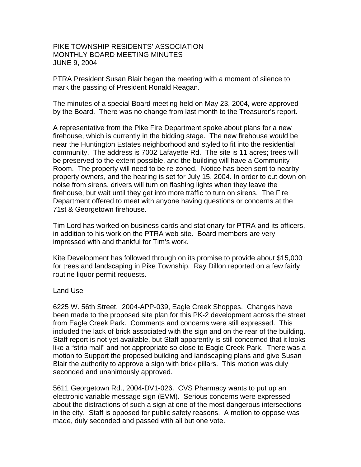## PIKE TOWNSHIP RESIDENTS' ASSOCIATION MONTHLY BOARD MEETING MINUTES JUNE 9, 2004

PTRA President Susan Blair began the meeting with a moment of silence to mark the passing of President Ronald Reagan.

The minutes of a special Board meeting held on May 23, 2004, were approved by the Board. There was no change from last month to the Treasurer's report.

A representative from the Pike Fire Department spoke about plans for a new firehouse, which is currently in the bidding stage. The new firehouse would be near the Huntington Estates neighborhood and styled to fit into the residential community. The address is 7002 Lafayette Rd. The site is 11 acres; trees will be preserved to the extent possible, and the building will have a Community Room. The property will need to be re-zoned. Notice has been sent to nearby property owners, and the hearing is set for July 15, 2004. In order to cut down on noise from sirens, drivers will turn on flashing lights when they leave the firehouse, but wait until they get into more traffic to turn on sirens. The Fire Department offered to meet with anyone having questions or concerns at the 71st & Georgetown firehouse.

Tim Lord has worked on business cards and stationary for PTRA and its officers, in addition to his work on the PTRA web site. Board members are very impressed with and thankful for Tim's work.

Kite Development has followed through on its promise to provide about \$15,000 for trees and landscaping in Pike Township. Ray Dillon reported on a few fairly routine liquor permit requests.

## Land Use

6225 W. 56th Street. 2004-APP-039, Eagle Creek Shoppes. Changes have been made to the proposed site plan for this PK-2 development across the street from Eagle Creek Park. Comments and concerns were still expressed. This included the lack of brick associated with the sign and on the rear of the building. Staff report is not yet available, but Staff apparently is still concerned that it looks like a "strip mall" and not appropriate so close to Eagle Creek Park. There was a motion to Support the proposed building and landscaping plans and give Susan Blair the authority to approve a sign with brick pillars. This motion was duly seconded and unanimously approved.

5611 Georgetown Rd., 2004-DV1-026. CVS Pharmacy wants to put up an electronic variable message sign (EVM). Serious concerns were expressed about the distractions of such a sign at one of the most dangerous intersections in the city. Staff is opposed for public safety reasons. A motion to oppose was made, duly seconded and passed with all but one vote.